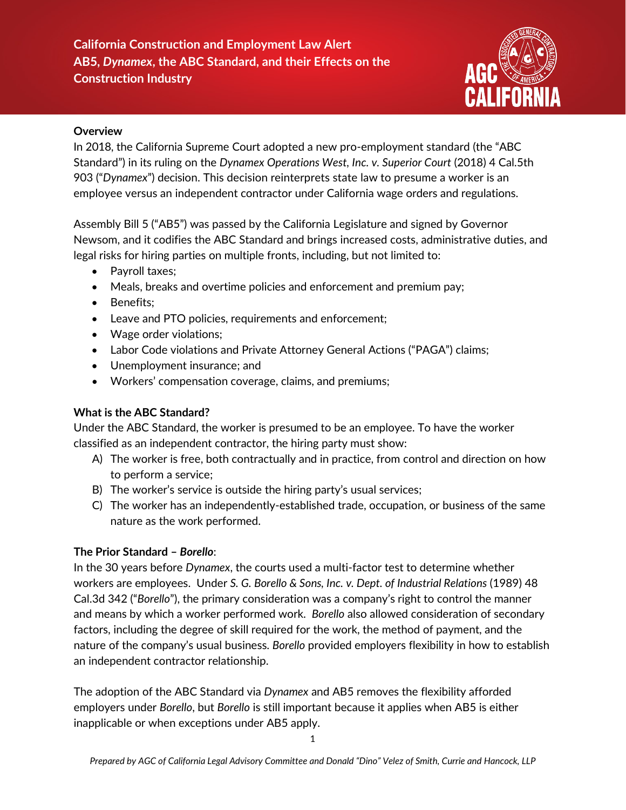# **California Construction and Employment Law Alert AB5,** *Dynamex***, the ABC Standard, and their Effects on the Construction Industry**



#### **Overview**

In 2018, the California Supreme Court adopted a new pro-employment standard (the "ABC Standard") in its ruling on the *Dynamex Operations West, Inc. v. Superior Court* (2018) 4 Cal.5th 903 ("*Dynamex*") decision. This decision reinterprets state law to presume a worker is an employee versus an independent contractor under California wage orders and regulations.

Assembly Bill 5 ("AB5") was passed by the California Legislature and signed by Governor Newsom, and it codifies the ABC Standard and brings increased costs, administrative duties, and legal risks for hiring parties on multiple fronts, including, but not limited to:

- Payroll taxes;
- Meals, breaks and overtime policies and enforcement and premium pay;
- Benefits;
- Leave and PTO policies, requirements and enforcement;
- Wage order violations;
- Labor Code violations and Private Attorney General Actions ("PAGA") claims;
- Unemployment insurance; and
- Workers' compensation coverage, claims, and premiums;

## **What is the ABC Standard?**

Under the ABC Standard, the worker is presumed to be an employee. To have the worker classified as an independent contractor, the hiring party must show:

- A) The worker is free, both contractually and in practice, from control and direction on how to perform a service;
- B) The worker's service is outside the hiring party's usual services;
- C) The worker has an independently-established trade, occupation, or business of the same nature as the work performed.

# **The Prior Standard –** *Borello*:

In the 30 years before *Dynamex*, the courts used a multi-factor test to determine whether workers are employees. Under *S. G. Borello & Sons, Inc. v. Dept. of Industrial Relations* (1989) 48 Cal.3d 342 ("*Borello*"), the primary consideration was a company's right to control the manner and means by which a worker performed work. *Borello* also allowed consideration of secondary factors, including the degree of skill required for the work, the method of payment, and the nature of the company's usual business. *Borello* provided employers flexibility in how to establish an independent contractor relationship.

The adoption of the ABC Standard via *Dynamex* and AB5 removes the flexibility afforded employers under *Borello*, but *Borello* is still important because it applies when AB5 is either inapplicable or when exceptions under AB5 apply.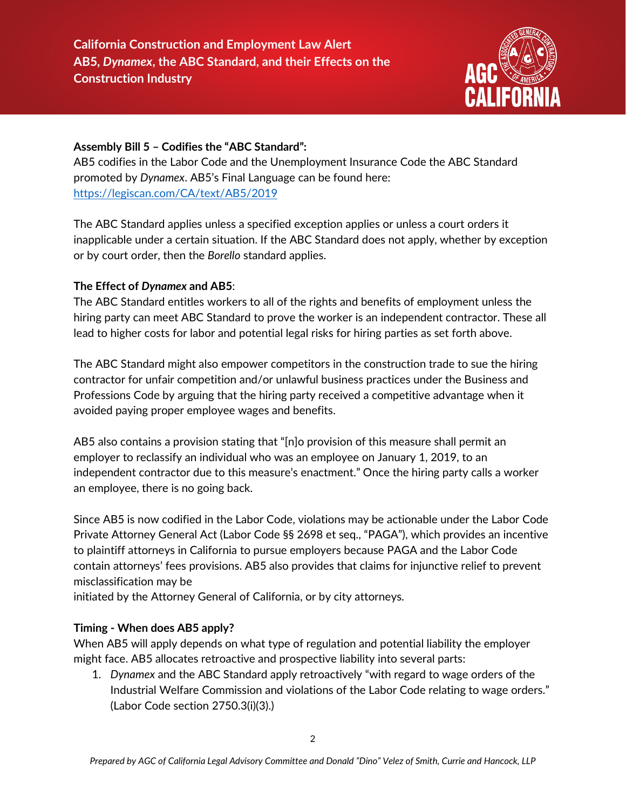

#### **Assembly Bill 5 – Codifies the "ABC Standard":**

AB5 codifies in the Labor Code and the Unemployment Insurance Code the ABC Standard promoted by *Dynamex*. AB5's Final Language can be found here: <https://legiscan.com/CA/text/AB5/2019>

The ABC Standard applies unless a specified exception applies or unless a court orders it inapplicable under a certain situation. If the ABC Standard does not apply, whether by exception or by court order, then the *Borello* standard applies.

#### **The Effect of** *Dynamex* **and AB5**:

The ABC Standard entitles workers to all of the rights and benefits of employment unless the hiring party can meet ABC Standard to prove the worker is an independent contractor. These all lead to higher costs for labor and potential legal risks for hiring parties as set forth above.

The ABC Standard might also empower competitors in the construction trade to sue the hiring contractor for unfair competition and/or unlawful business practices under the Business and Professions Code by arguing that the hiring party received a competitive advantage when it avoided paying proper employee wages and benefits.

AB5 also contains a provision stating that "[n]o provision of this measure shall permit an employer to reclassify an individual who was an employee on January 1, 2019, to an independent contractor due to this measure's enactment." Once the hiring party calls a worker an employee, there is no going back.

Since AB5 is now codified in the Labor Code, violations may be actionable under the Labor Code Private Attorney General Act (Labor Code §§ 2698 et seq., "PAGA"), which provides an incentive to plaintiff attorneys in California to pursue employers because PAGA and the Labor Code contain attorneys' fees provisions. AB5 also provides that claims for injunctive relief to prevent misclassification may be

initiated by the Attorney General of California, or by city attorneys.

#### **Timing - When does AB5 apply?**

When AB5 will apply depends on what type of regulation and potential liability the employer might face. AB5 allocates retroactive and prospective liability into several parts:

1. *Dynamex* and the ABC Standard apply retroactively "with regard to wage orders of the Industrial Welfare Commission and violations of the Labor Code relating to wage orders." (Labor Code section 2750.3(i)(3).)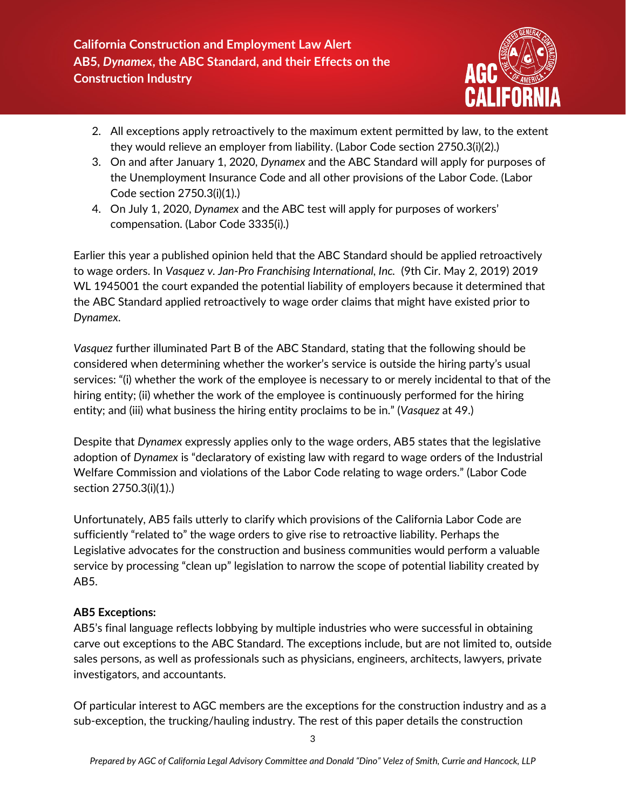

- 2. All exceptions apply retroactively to the maximum extent permitted by law, to the extent they would relieve an employer from liability. (Labor Code section 2750.3(i)(2).)
- 3. On and after January 1, 2020, *Dynamex* and the ABC Standard will apply for purposes of the Unemployment Insurance Code and all other provisions of the Labor Code. (Labor Code section 2750.3(i)(1).)
- 4. On July 1, 2020, *Dynamex* and the ABC test will apply for purposes of workers' compensation. (Labor Code 3335(i).)

Earlier this year a published opinion held that the ABC Standard should be applied retroactively to wage orders. In *Vasquez v. Jan-Pro Franchising International, Inc.* (9th Cir. May 2, 2019) 2019 WL 1945001 the court expanded the potential liability of employers because it determined that the ABC Standard applied retroactively to wage order claims that might have existed prior to *Dynamex*.

*Vasquez* further illuminated Part B of the ABC Standard, stating that the following should be considered when determining whether the worker's service is outside the hiring party's usual services: "(i) whether the work of the employee is necessary to or merely incidental to that of the hiring entity; (ii) whether the work of the employee is continuously performed for the hiring entity; and (iii) what business the hiring entity proclaims to be in." (*Vasquez* at 49.)

Despite that *Dynamex* expressly applies only to the wage orders, AB5 states that the legislative adoption of *Dynamex* is "declaratory of existing law with regard to wage orders of the Industrial Welfare Commission and violations of the Labor Code relating to wage orders." (Labor Code section 2750.3(i)(1).)

Unfortunately, AB5 fails utterly to clarify which provisions of the California Labor Code are sufficiently "related to" the wage orders to give rise to retroactive liability. Perhaps the Legislative advocates for the construction and business communities would perform a valuable service by processing "clean up" legislation to narrow the scope of potential liability created by AB5.

# **AB5 Exceptions:**

AB5's final language reflects lobbying by multiple industries who were successful in obtaining carve out exceptions to the ABC Standard. The exceptions include, but are not limited to, outside sales persons, as well as professionals such as physicians, engineers, architects, lawyers, private investigators, and accountants.

Of particular interest to AGC members are the exceptions for the construction industry and as a sub-exception, the trucking/hauling industry. The rest of this paper details the construction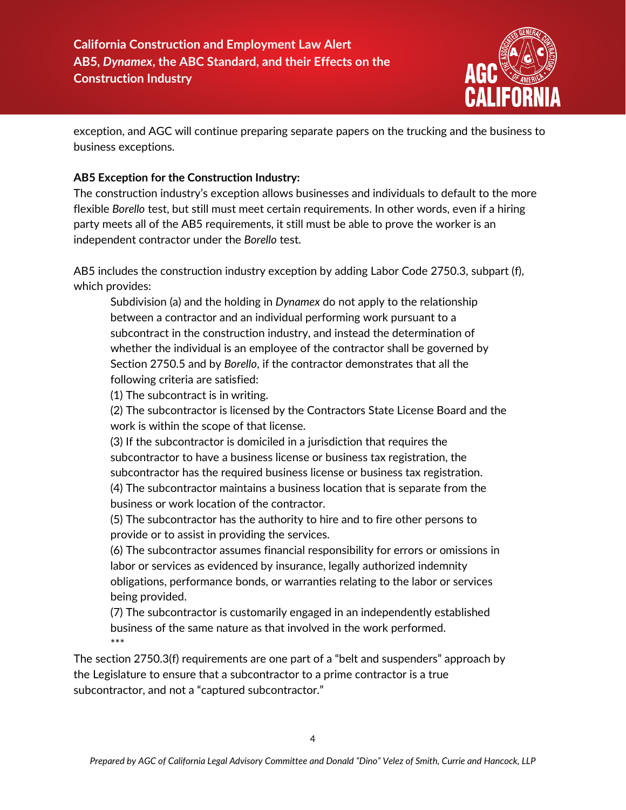

exception, and AGC will continue preparing separate papers on the trucking and the business to business exceptions.

## **AB5 Exception for the Construction Industry:**

The construction industry's exception allows businesses and individuals to default to the more flexible *Borello* test, but still must meet certain requirements. In other words, even if a hiring party meets all of the AB5 requirements, it still must be able to prove the worker is an independent contractor under the *Borello* test.

AB5 includes the construction industry exception by adding Labor Code 2750.3, subpart (f), which provides:

Subdivision (a) and the holding in *Dynamex* do not apply to the relationship between a contractor and an individual performing work pursuant to a subcontract in the construction industry, and instead the determination of whether the individual is an employee of the contractor shall be governed by Section 2750.5 and by *Borello*, if the contractor demonstrates that all the following criteria are satisfied:

(1) The subcontract is in writing.

(2) The subcontractor is licensed by the Contractors State License Board and the work is within the scope of that license.

(3) If the subcontractor is domiciled in a jurisdiction that requires the subcontractor to have a business license or business tax registration, the subcontractor has the required business license or business tax registration. (4) The subcontractor maintains a business location that is separate from the business or work location of the contractor.

(5) The subcontractor has the authority to hire and to fire other persons to provide or to assist in providing the services.

(6) The subcontractor assumes financial responsibility for errors or omissions in labor or services as evidenced by insurance, legally authorized indemnity obligations, performance bonds, or warranties relating to the labor or services being provided.

(7) The subcontractor is customarily engaged in an independently established business of the same nature as that involved in the work performed. \*\*\*

The section 2750.3(f) requirements are one part of a "belt and suspenders" approach by the Legislature to ensure that a subcontractor to a prime contractor is a true subcontractor, and not a "captured subcontractor."